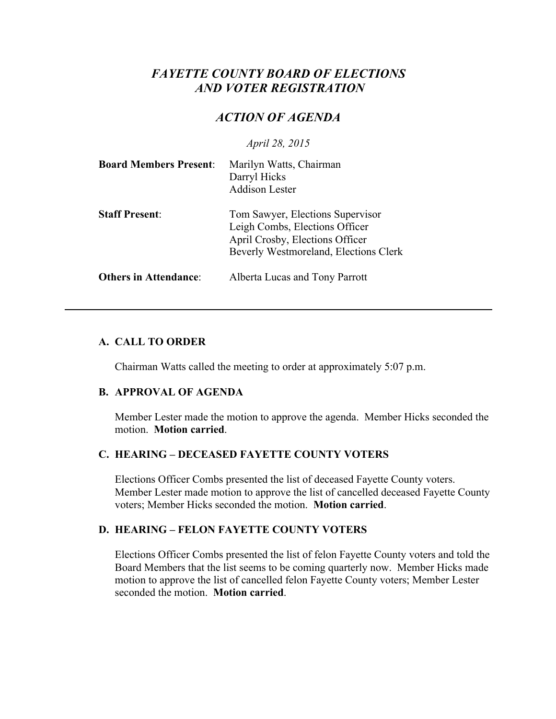# *FAYETTE COUNTY BOARD OF ELECTIONS AND VOTER REGISTRATION*

# *ACTION OF AGENDA*

*April 28, 2015*

| <b>Board Members Present:</b> | Marilyn Watts, Chairman<br>Darryl Hicks<br><b>Addison Lester</b>                                                                               |
|-------------------------------|------------------------------------------------------------------------------------------------------------------------------------------------|
| <b>Staff Present:</b>         | Tom Sawyer, Elections Supervisor<br>Leigh Combs, Elections Officer<br>April Crosby, Elections Officer<br>Beverly Westmoreland, Elections Clerk |
| <b>Others in Attendance:</b>  | Alberta Lucas and Tony Parrott                                                                                                                 |

### **A. CALL TO ORDER**

Chairman Watts called the meeting to order at approximately 5:07 p.m.

### **B. APPROVAL OF AGENDA**

Member Lester made the motion to approve the agenda. Member Hicks seconded the motion. **Motion carried**.

#### **C. HEARING – DECEASED FAYETTE COUNTY VOTERS**

Elections Officer Combs presented the list of deceased Fayette County voters. Member Lester made motion to approve the list of cancelled deceased Fayette County voters; Member Hicks seconded the motion. **Motion carried**.

### **D. HEARING – FELON FAYETTE COUNTY VOTERS**

Elections Officer Combs presented the list of felon Fayette County voters and told the Board Members that the list seems to be coming quarterly now. Member Hicks made motion to approve the list of cancelled felon Fayette County voters; Member Lester seconded the motion. **Motion carried**.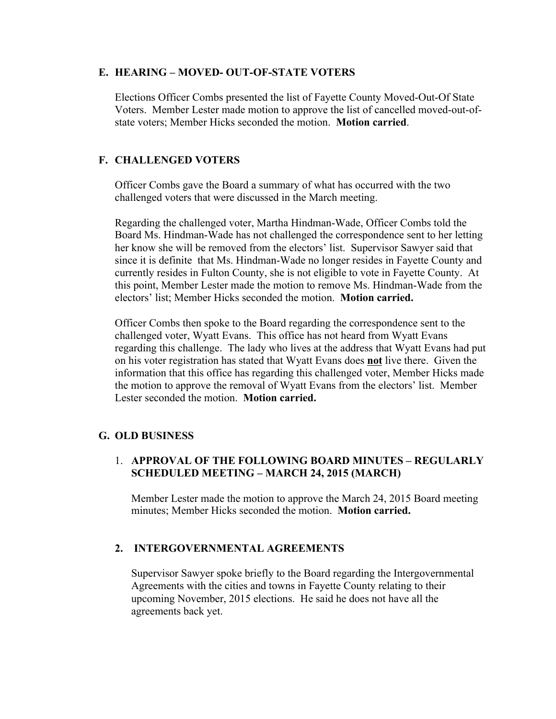### **E. HEARING – MOVED- OUT-OF-STATE VOTERS**

Elections Officer Combs presented the list of Fayette County Moved-Out-Of State Voters. Member Lester made motion to approve the list of cancelled moved-out-ofstate voters; Member Hicks seconded the motion. **Motion carried**.

# **F. CHALLENGED VOTERS**

Officer Combs gave the Board a summary of what has occurred with the two challenged voters that were discussed in the March meeting.

Regarding the challenged voter, Martha Hindman-Wade, Officer Combs told the Board Ms. Hindman-Wade has not challenged the correspondence sent to her letting her know she will be removed from the electors' list. Supervisor Sawyer said that since it is definite that Ms. Hindman-Wade no longer resides in Fayette County and currently resides in Fulton County, she is not eligible to vote in Fayette County. At this point, Member Lester made the motion to remove Ms. Hindman-Wade from the electors' list; Member Hicks seconded the motion. **Motion carried.**

Officer Combs then spoke to the Board regarding the correspondence sent to the challenged voter, Wyatt Evans. This office has not heard from Wyatt Evans regarding this challenge. The lady who lives at the address that Wyatt Evans had put on his voter registration has stated that Wyatt Evans does **not** live there. Given the information that this office has regarding this challenged voter, Member Hicks made the motion to approve the removal of Wyatt Evans from the electors' list. Member Lester seconded the motion. **Motion carried.**

# **G. OLD BUSINESS**

# 1. **APPROVAL OF THE FOLLOWING BOARD MINUTES – REGULARLY SCHEDULED MEETING – MARCH 24, 2015 (MARCH)**

Member Lester made the motion to approve the March 24, 2015 Board meeting minutes; Member Hicks seconded the motion. **Motion carried.**

# **2. INTERGOVERNMENTAL AGREEMENTS**

Supervisor Sawyer spoke briefly to the Board regarding the Intergovernmental Agreements with the cities and towns in Fayette County relating to their upcoming November, 2015 elections. He said he does not have all the agreements back yet.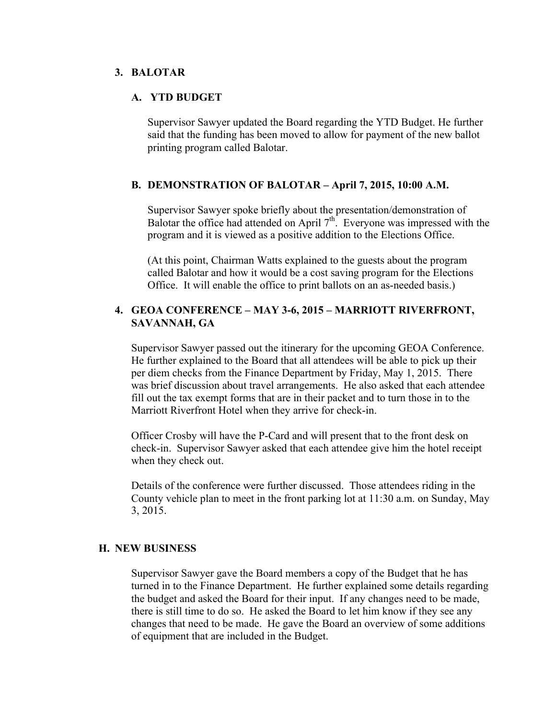#### **3. BALOTAR**

#### **A. YTD BUDGET**

Supervisor Sawyer updated the Board regarding the YTD Budget. He further said that the funding has been moved to allow for payment of the new ballot printing program called Balotar.

#### **B. DEMONSTRATION OF BALOTAR – April 7, 2015, 10:00 A.M.**

Supervisor Sawyer spoke briefly about the presentation/demonstration of Balotar the office had attended on April  $7<sup>th</sup>$ . Everyone was impressed with the program and it is viewed as a positive addition to the Elections Office.

(At this point, Chairman Watts explained to the guests about the program called Balotar and how it would be a cost saving program for the Elections Office. It will enable the office to print ballots on an as-needed basis.)

### **4. GEOA CONFERENCE – MAY 3-6, 2015 – MARRIOTT RIVERFRONT, SAVANNAH, GA**

Supervisor Sawyer passed out the itinerary for the upcoming GEOA Conference. He further explained to the Board that all attendees will be able to pick up their per diem checks from the Finance Department by Friday, May 1, 2015. There was brief discussion about travel arrangements. He also asked that each attendee fill out the tax exempt forms that are in their packet and to turn those in to the Marriott Riverfront Hotel when they arrive for check-in.

Officer Crosby will have the P-Card and will present that to the front desk on check-in. Supervisor Sawyer asked that each attendee give him the hotel receipt when they check out.

Details of the conference were further discussed. Those attendees riding in the County vehicle plan to meet in the front parking lot at 11:30 a.m. on Sunday, May 3, 2015.

#### **H. NEW BUSINESS**

Supervisor Sawyer gave the Board members a copy of the Budget that he has turned in to the Finance Department. He further explained some details regarding the budget and asked the Board for their input. If any changes need to be made, there is still time to do so. He asked the Board to let him know if they see any changes that need to be made. He gave the Board an overview of some additions of equipment that are included in the Budget.